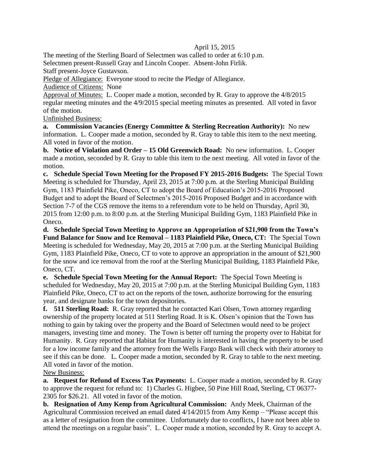## April 15, 2015

The meeting of the Sterling Board of Selectmen was called to order at 6:10 p.m. Selectmen present-Russell Gray and Lincoln Cooper. Absent-John Firlik. Staff present-Joyce Gustavson.

Pledge of Allegiance: Everyone stood to recite the Pledge of Allegiance.

Audience of Citizens: None

Approval of Minutes: L. Cooper made a motion, seconded by R. Gray to approve the 4/8/2015 regular meeting minutes and the 4/9/2015 special meeting minutes as presented. All voted in favor of the motion.

Unfinished Business:

**a. Commission Vacancies (Energy Committee & Sterling Recreation Authority):** No new information. L. Cooper made a motion, seconded by R. Gray to table this item to the next meeting. All voted in favor of the motion.

**b. Notice of Violation and Order – 15 Old Greenwich Road:** No new information. L. Cooper made a motion, seconded by R. Gray to table this item to the next meeting. All voted in favor of the motion.

**c. Schedule Special Town Meeting for the Proposed FY 2015-2016 Budgets:** The Special Town Meeting is scheduled for Thursday, April 23, 2015 at 7:00 p.m. at the Sterling Municipal Building Gym, 1183 Plainfield Pike, Oneco, CT to adopt the Board of Education's 2015-2016 Proposed Budget and to adopt the Board of Selectmen's 2015-2016 Proposed Budget and in accordance with Section 7-7 of the CGS remove the items to a referendum vote to be held on Thursday, April 30, 2015 from 12:00 p.m. to 8:00 p.m. at the Sterling Municipal Building Gym, 1183 Plainfield Pike in Oneco.

**d. Schedule Special Town Meeting to Approve an Appropriation of \$21,900 from the Town's Fund Balance for Snow and Ice Removal – 1183 Plainfield Pike, Oneco, CT:** The Special Town Meeting is scheduled for Wednesday, May 20, 2015 at 7:00 p.m. at the Sterling Municipal Building Gym, 1183 Plainfield Pike, Oneco, CT to vote to approve an appropriation in the amount of \$21,900 for the snow and ice removal from the roof at the Sterling Municipal Building, 1183 Plainfield Pike, Oneco, CT.

**e. Schedule Special Town Meeting for the Annual Report:** The Special Town Meeting is scheduled for Wednesday, May 20, 2015 at 7:00 p.m. at the Sterling Municipal Building Gym, 1183 Plainfield Pike, Oneco, CT to act on the reports of the town, authorize borrowing for the ensuring year, and designate banks for the town depositories.

**f. 511 Sterling Road:** R. Gray reported that he contacted Kari Olsen, Town attorney regarding ownership of the property located at 511 Sterling Road. It is K. Olsen's opinion that the Town has nothing to gain by taking over the property and the Board of Selectmen would need to be project managers, investing time and money. The Town is better off turning the property over to Habitat for Humanity. R. Gray reported that Habitat for Humanity is interested in having the property to be used for a low income family and the attorney from the Wells Fargo Bank will check with their attorney to see if this can be done. L. Cooper made a motion, seconded by R. Gray to table to the next meeting. All voted in favor of the motion.

New Business:

**a. Request for Refund of Excess Tax Payments:** L. Cooper made a motion, seconded by R. Gray to approve the request for refund to: 1) Charles G. Higbee, 50 Pine Hill Road, Sterling, CT 06377- 2305 for \$26.21. All voted in favor of the motion.

**b. Resignation of Amy Kemp from Agricultural Commission:** Andy Meek, Chairman of the Agricultural Commission received an email dated 4/14/2015 from Amy Kemp – "Please accept this as a letter of resignation from the committee. Unfortunately due to conflicts, I have not been able to attend the meetings on a regular basis". L. Cooper made a motion, seconded by R. Gray to accept A.